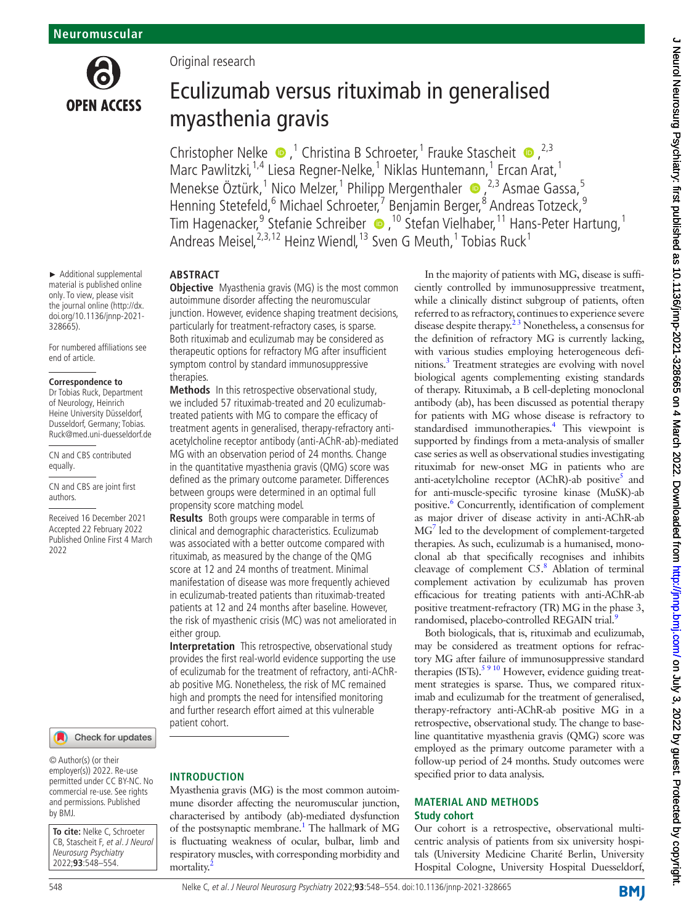

► Additional supplemental material is published online only. To view, please visit the journal online [\(http://dx.](http://dx.doi.org/10.1136/jnnp-2021-328665) [doi.org/10.1136/jnnp-2021-](http://dx.doi.org/10.1136/jnnp-2021-328665) [328665](http://dx.doi.org/10.1136/jnnp-2021-328665)).

For numbered affiliations see end of article.

#### **Correspondence to**

Dr Tobias Ruck, Department of Neurology, Heinrich Heine University Düsseldorf, Dusseldorf, Germany; Tobias. Ruck@med.uni-duesseldorf.de

CN and CBS contributed equally.

CN and CBS are joint first authors.

Received 16 December 2021 Accepted 22 February 2022 Published Online First 4 March 2022



© Author(s) (or their employer(s)) 2022. Re-use permitted under CC BY-NC. No commercial re-use. See rights and permissions. Published by BMJ.

**To cite:** Nelke C, Schroeter CB, Stascheit F, et al. J Neurol Neurosurg Psychiatry 2022;**93**:548–554.

Original research

# Eculizumab versus rituximab in generalised myasthenia gravis

Christopher Nelke  $\bullet$ ,<sup>1</sup> Christina B Schroeter,<sup>1</sup> Frauke Stascheit  $\bullet$ , <sup>2,3</sup> Marc Pawlitzki,<sup>1,4</sup> Liesa Regner-Nelke,<sup>1</sup> Niklas Huntemann,<sup>1</sup> Ercan Arat,<sup>1</sup> Menekse Öztürk,<sup>1</sup> Nico Melzer,<sup>1</sup> Philipp Mergenthaler (D, <sup>2,3</sup> Asmae Gassa,<sup>5</sup> Henning Stetefeld, <sup>6</sup> Michael Schroeter, <sup>7</sup> Benjamin Berger, <sup>8</sup> Andreas Totzeck, <sup>9</sup> TimHagenacker,<sup>9</sup> Stefanie Schreiber (D, <sup>10</sup> Stefan Vielhaber, 11 Hans-Peter Hartung, 1 Andreas Meisel,  $^{2,3,12}$  Heinz Wiendl,  $^{13}$  Sven G Meuth,  $^{1}$  Tobias Ruck $^{1}$ 

### **ABSTRACT**

**Objective** Myasthenia gravis (MG) is the most common autoimmune disorder affecting the neuromuscular junction. However, evidence shaping treatment decisions, particularly for treatment-refractory cases, is sparse. Both rituximab and eculizumab may be considered as therapeutic options for refractory MG after insufficient symptom control by standard immunosuppressive therapies.

**Methods** In this retrospective observational study, we included 57 rituximab-treated and 20 eculizumabtreated patients with MG to compare the efficacy of treatment agents in generalised, therapy-refractory antiacetylcholine receptor antibody (anti-AChR-ab)-mediated MG with an observation period of 24 months. Change in the quantitative myasthenia gravis (QMG) score was defined as the primary outcome parameter. Differences between groups were determined in an optimal full propensity score matching model.

**Results** Both groups were comparable in terms of clinical and demographic characteristics. Eculizumab was associated with a better outcome compared with rituximab, as measured by the change of the QMG score at 12 and 24 months of treatment. Minimal manifestation of disease was more frequently achieved in eculizumab-treated patients than rituximab-treated patients at 12 and 24 months after baseline. However, the risk of myasthenic crisis (MC) was not ameliorated in either group.

**Interpretation** This retrospective, observational study provides the first real-world evidence supporting the use of eculizumab for the treatment of refractory, anti-AChRab positive MG. Nonetheless, the risk of MC remained high and prompts the need for intensified monitoring and further research effort aimed at this vulnerable patient cohort.

## **INTRODUCTION**

Myasthenia gravis (MG) is the most common autoimmune disorder affecting the neuromuscular junction, characterised by antibody (ab)-mediated dysfunction of the postsynaptic membrane.<sup>1</sup> The hallmark of MG is fluctuating weakness of ocular, bulbar, limb and respiratory muscles, with corresponding morbidity and mortality.

In the majority of patients with MG, disease is sufficiently controlled by immunosuppressive treatment, while a clinically distinct subgroup of patients, often referred to as refractory, continues to experience severe disease despite therapy.<sup>23</sup> Nonetheless, a consensus for the definition of refractory MG is currently lacking, with various studies employing heterogeneous definitions[.3](#page-6-2) Treatment strategies are evolving with novel biological agents complementing existing standards of therapy. Rituximab, a B cell-depleting monoclonal antibody (ab), has been discussed as potential therapy for patients with MG whose disease is refractory to standardised immunotherapies.<sup>4</sup> This viewpoint is supported by findings from a meta-analysis of smaller case series as well as observational studies investigating rituximab for new-onset MG in patients who are anti-acetylcholine receptor (AChR)-ab positive<sup>5</sup> and for anti-muscle-specific tyrosine kinase (MuSK)-ab positive.<sup>6</sup> Concurrently, identification of complement as major driver of disease activity in anti-AChR-ab M[G7](#page-6-6) led to the development of complement-targeted therapies. As such, eculizumab is a humanised, monoclonal ab that specifically recognises and inhibits cleavage of complement C5.<sup>[8](#page-6-7)</sup> Ablation of terminal complement activation by eculizumab has proven efficacious for treating patients with anti-AChR-ab positive treatment-refractory (TR) MG in the phase 3, randomised, placebo-controlled REGAIN trial.<sup>[9](#page-6-8)</sup>

Both biologicals, that is, rituximab and eculizumab, may be considered as treatment options for refractory MG after failure of immunosuppressive standard therapies  $(ISTs)$ .<sup>5 9 10</sup> However, evidence guiding treatment strategies is sparse. Thus, we compared rituximab and eculizumab for the treatment of generalised, therapy-refractory anti-AChR-ab positive MG in a retrospective, observational study. The change to baseline quantitative myasthenia gravis (QMG) score was employed as the primary outcome parameter with a follow-up period of 24 months. Study outcomes were specified prior to data analysis.

### **MATERIAL AND METHODS Study cohort**

Our cohort is a retrospective, observational multicentric analysis of patients from six university hospitals (University Medicine Charité Berlin, University Hospital Cologne, University Hospital Duesseldorf,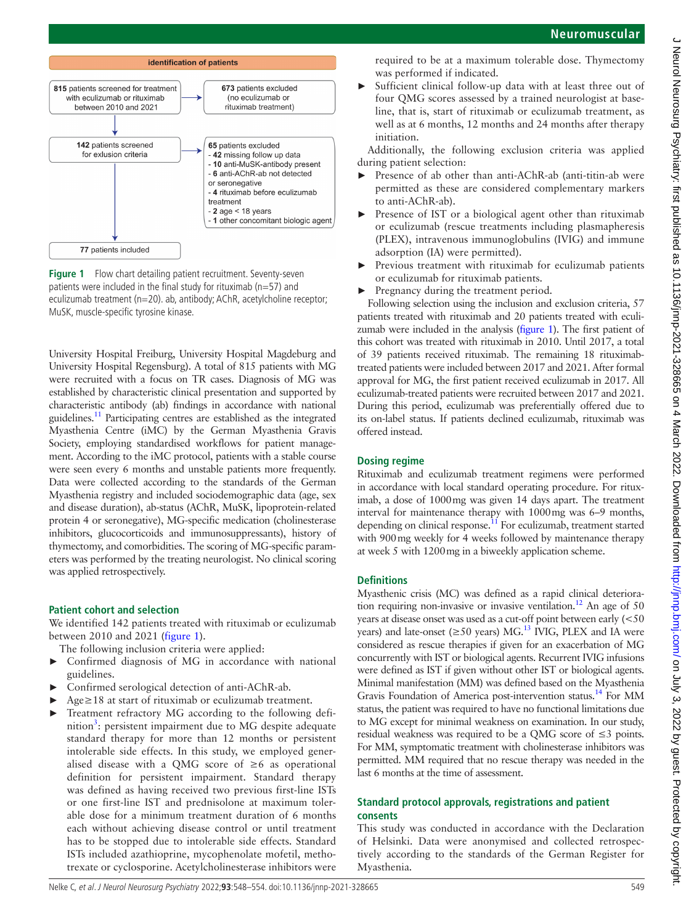

<span id="page-1-0"></span>**Figure 1** Flow chart detailing patient recruitment. Seventy-seven patients were included in the final study for rituximab ( $n=57$ ) and eculizumab treatment (n=20). ab, antibody; AChR, acetylcholine receptor; MuSK, muscle-specific tyrosine kinase.

University Hospital Freiburg, University Hospital Magdeburg and University Hospital Regensburg). A total of 815 patients with MG were recruited with a focus on TR cases. Diagnosis of MG was established by characteristic clinical presentation and supported by characteristic antibody (ab) findings in accordance with national guidelines[.11](#page-6-9) Participating centres are established as the integrated Myasthenia Centre (iMC) by the German Myasthenia Gravis Society, employing standardised workflows for patient management. According to the iMC protocol, patients with a stable course were seen every 6 months and unstable patients more frequently. Data were collected according to the standards of the German Myasthenia registry and included sociodemographic data (age, sex and disease duration), ab-status (AChR, MuSK, lipoprotein-related protein 4 or seronegative), MG-specific medication (cholinesterase inhibitors, glucocorticoids and immunosuppressants), history of thymectomy, and comorbidities. The scoring of MG-specific parameters was performed by the treating neurologist. No clinical scoring was applied retrospectively.

## **Patient cohort and selection**

We identified 142 patients treated with rituximab or eculizumab between 2010 and 2021 [\(figure](#page-1-0) 1).

- The following inclusion criteria were applied:
- Confirmed diagnosis of MG in accordance with national guidelines.
- ► Confirmed serological detection of anti-AChR-ab.
- Age≥18 at start of rituximab or eculizumab treatment.
- Treatment refractory MG according to the following defi-nition<sup>[3](#page-6-2)</sup>: persistent impairment due to MG despite adequate standard therapy for more than 12 months or persistent intolerable side effects. In this study, we employed generalised disease with a QMG score of  $\geq 6$  as operational definition for persistent impairment. Standard therapy was defined as having received two previous first-line ISTs or one first-line IST and prednisolone at maximum tolerable dose for a minimum treatment duration of 6 months each without achieving disease control or until treatment has to be stopped due to intolerable side effects. Standard ISTs included azathioprine, mycophenolate mofetil, methotrexate or cyclosporine. Acetylcholinesterase inhibitors were

required to be at a maximum tolerable dose. Thymectomy was performed if indicated.

Sufficient clinical follow-up data with at least three out of four QMG scores assessed by a trained neurologist at baseline, that is, start of rituximab or eculizumab treatment, as well as at 6 months, 12 months and 24 months after therapy initiation.

Additionally, the following exclusion criteria was applied during patient selection:

- Presence of ab other than anti-AChR-ab (anti-titin-ab were permitted as these are considered complementary markers to anti-AChR-ab).
- Presence of IST or a biological agent other than rituximab or eculizumab (rescue treatments including plasmapheresis (PLEX), intravenous immunoglobulins (IVIG) and immune adsorption (IA) were permitted).
- ► Previous treatment with rituximab for eculizumab patients or eculizumab for rituximab patients.
- Pregnancy during the treatment period.

Following selection using the inclusion and exclusion criteria, 57 patients treated with rituximab and 20 patients treated with eculizumab were included in the analysis [\(figure](#page-1-0) 1). The first patient of this cohort was treated with rituximab in 2010. Until 2017, a total of 39 patients received rituximab. The remaining 18 rituximabtreated patients were included between 2017 and 2021. After formal approval for MG, the first patient received eculizumab in 2017. All eculizumab-treated patients were recruited between 2017 and 2021. During this period, eculizumab was preferentially offered due to its on-label status. If patients declined eculizumab, rituximab was offered instead.

# **Dosing regime**

Rituximab and eculizumab treatment regimens were performed in accordance with local standard operating procedure. For rituximab, a dose of 1000mg was given 14 days apart. The treatment interval for maintenance therapy with 1000mg was 6–9 months, depending on clinical response. $11$  For eculizumab, treatment started with 900mg weekly for 4 weeks followed by maintenance therapy at week 5 with 1200mg in a biweekly application scheme.

# **Definitions**

Myasthenic crisis (MC) was defined as a rapid clinical deterioration requiring non-invasive or invasive ventilation.<sup>12</sup> An age of 50 years at disease onset was used as a cut-off point between early (<50 years) and late-onset ( $\geq$ 50 years) MG.<sup>13</sup> IVIG, PLEX and IA were considered as rescue therapies if given for an exacerbation of MG concurrently with IST or biological agents. Recurrent IVIG infusions were defined as IST if given without other IST or biological agents. Minimal manifestation (MM) was defined based on the Myasthenia Gravis Foundation of America post-intervention status.[14](#page-6-12) For MM status, the patient was required to have no functional limitations due to MG except for minimal weakness on examination. In our study, residual weakness was required to be a QMG score of ≤3 points. For MM, symptomatic treatment with cholinesterase inhibitors was permitted. MM required that no rescue therapy was needed in the last 6 months at the time of assessment.

## **Standard protocol approvals, registrations and patient consents**

This study was conducted in accordance with the Declaration of Helsinki. Data were anonymised and collected retrospectively according to the standards of the German Register for Myasthenia.

J Neurol Neurosurg Psychiatry: first published as 10.11136/jnnp-2021-328665 on 4 March 2022. Downloaded from http://jnnp.bmj.com/ on July 3, 2022 by guest. Protected by copyright J Neurol Neurosurg Psychiatry: first published as 10.1136/jnnp-2021-328665 on 4 March 2022. Downloaded from <http://jnnp.bmj.com/> on July 3, 2022 by guest. Protected by copyright.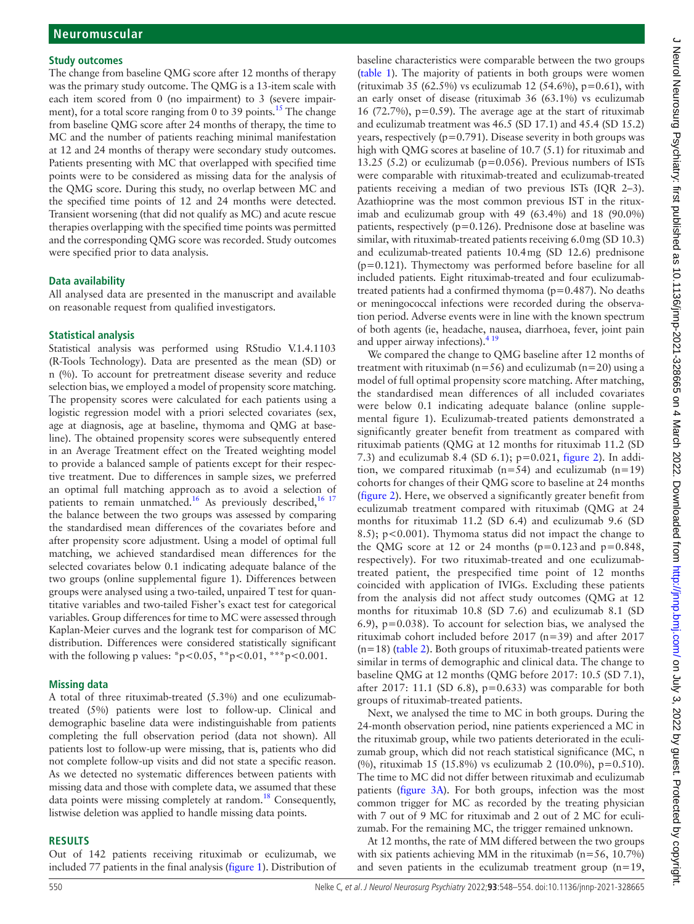#### **Study outcomes**

The change from baseline QMG score after 12 months of therapy was the primary study outcome. The QMG is a 13-item scale with each item scored from 0 (no impairment) to 3 (severe impairment), for a total score ranging from 0 to 39 points.<sup>15</sup> The change from baseline QMG score after 24 months of therapy, the time to MC and the number of patients reaching minimal manifestation at 12 and 24 months of therapy were secondary study outcomes. Patients presenting with MC that overlapped with specified time points were to be considered as missing data for the analysis of the QMG score. During this study, no overlap between MC and the specified time points of 12 and 24 months were detected. Transient worsening (that did not qualify as MC) and acute rescue therapies overlapping with the specified time points was permitted and the corresponding QMG score was recorded. Study outcomes were specified prior to data analysis.

### **Data availability**

All analysed data are presented in the manuscript and available on reasonable request from qualified investigators.

#### **Statistical analysis**

Statistical analysis was performed using RStudio V.1.4.1103 (R-Tools Technology). Data are presented as the mean (SD) or n (%). To account for pretreatment disease severity and reduce selection bias, we employed a model of propensity score matching. The propensity scores were calculated for each patients using a logistic regression model with a priori selected covariates (sex, age at diagnosis, age at baseline, thymoma and QMG at baseline). The obtained propensity scores were subsequently entered in an Average Treatment effect on the Treated weighting model to provide a balanced sample of patients except for their respective treatment. Due to differences in sample sizes, we preferred an optimal full matching approach as to avoid a selection of patients to remain unmatched.<sup>[16](#page-6-14)</sup> As previously described,  $16\frac{17}{16}$ the balance between the two groups was assessed by comparing the standardised mean differences of the covariates before and after propensity score adjustment. Using a model of optimal full matching, we achieved standardised mean differences for the selected covariates below 0.1 indicating adequate balance of the two groups ([online supplemental figure 1](https://dx.doi.org/10.1136/jnnp-2021-328665)). Differences between groups were analysed using a two-tailed, unpaired T test for quantitative variables and two-tailed Fisher's exact test for categorical variables. Group differences for time to MC were assessed through Kaplan-Meier curves and the logrank test for comparison of MC distribution. Differences were considered statistically significant with the following p values: \*p<0.05, \*\*p<0.01, \*\*\*p<0.001.

#### **Missing data**

A total of three rituximab-treated (5.3%) and one eculizumabtreated (5%) patients were lost to follow-up. Clinical and demographic baseline data were indistinguishable from patients completing the full observation period (data not shown). All patients lost to follow-up were missing, that is, patients who did not complete follow-up visits and did not state a specific reason. As we detected no systematic differences between patients with missing data and those with complete data, we assumed that these data points were missing completely at random.<sup>[18](#page-6-15)</sup> Consequently, listwise deletion was applied to handle missing data points.

#### **RESULTS**

Out of 142 patients receiving rituximab or eculizumab, we included 77 patients in the final analysis [\(figure](#page-1-0) 1). Distribution of baseline characteristics were comparable between the two groups ([table](#page-3-0) 1). The majority of patients in both groups were women (rituximab 35 (62.5%) vs eculizumab 12 (54.6%),  $p=0.61$ ), with an early onset of disease (rituximab 36 (63.1%) vs eculizumab 16 (72.7%),  $p=0.59$ ). The average age at the start of rituximab and eculizumab treatment was 46.5 (SD 17.1) and 45.4 (SD 15.2) years, respectively ( $p=0.791$ ). Disease severity in both groups was high with QMG scores at baseline of 10.7 (5.1) for rituximab and 13.25 (5.2) or eculizumab ( $p=0.056$ ). Previous numbers of ISTs were comparable with rituximab-treated and eculizumab-treated patients receiving a median of two previous ISTs (IQR 2–3). Azathioprine was the most common previous IST in the rituximab and eculizumab group with 49 (63.4%) and 18 (90.0%) patients, respectively ( $p=0.126$ ). Prednisone dose at baseline was similar, with rituximab-treated patients receiving 6.0mg (SD 10.3) and eculizumab-treated patients 10.4mg (SD 12.6) prednisone  $(p=0.121)$ . Thymectomy was performed before baseline for all included patients. Eight rituximab-treated and four eculizumabtreated patients had a confirmed thymoma ( $p=0.487$ ). No deaths or meningococcal infections were recorded during the observation period. Adverse events were in line with the known spectrum of both agents (ie, headache, nausea, diarrhoea, fever, joint pain and upper airway infections).  $4^{19}$ 

We compared the change to QMG baseline after 12 months of treatment with rituximab ( $n=56$ ) and eculizumab ( $n=20$ ) using a model of full optimal propensity score matching. After matching, the standardised mean differences of all included covariates were below 0.1 indicating adequate balance [\(online supple](https://dx.doi.org/10.1136/jnnp-2021-328665)[mental figure 1](https://dx.doi.org/10.1136/jnnp-2021-328665)). Eculizumab-treated patients demonstrated a significantly greater benefit from treatment as compared with rituximab patients (QMG at 12 months for rituximab 11.2 (SD 7.3) and eculizumab 8.4 (SD 6.1); p=0.021, [figure](#page-3-1) 2). In addition, we compared rituximab ( $n=54$ ) and eculizumab ( $n=19$ ) cohorts for changes of their QMG score to baseline at 24 months ([figure](#page-3-1) 2). Here, we observed a significantly greater benefit from eculizumab treatment compared with rituximab (QMG at 24 months for rituximab 11.2 (SD 6.4) and eculizumab 9.6 (SD 8.5); p<0.001). Thymoma status did not impact the change to the QMG score at 12 or 24 months  $(p=0.123$  and  $p=0.848$ , respectively). For two rituximab-treated and one eculizumabtreated patient, the prespecified time point of 12 months coincided with application of IVIGs. Excluding these patients from the analysis did not affect study outcomes (QMG at 12 months for rituximab 10.8 (SD 7.6) and eculizumab 8.1 (SD 6.9), p=0.038). To account for selection bias, we analysed the rituximab cohort included before 2017 (n=39) and after 2017 (n=18) [\(table](#page-4-0) 2). Both groups of rituximab-treated patients were similar in terms of demographic and clinical data. The change to baseline QMG at 12 months (QMG before 2017: 10.5 (SD 7.1), after 2017: 11.1 (SD 6.8),  $p=0.633$ ) was comparable for both groups of rituximab-treated patients.

Next, we analysed the time to MC in both groups. During the 24-month observation period, nine patients experienced a MC in the rituximab group, while two patients deteriorated in the eculizumab group, which did not reach statistical significance (MC, n (%), rituximab 15 (15.8%) vs eculizumab 2 (10.0%), p=0.510). The time to MC did not differ between rituximab and eculizumab patients [\(figure](#page-5-0) 3A). For both groups, infection was the most common trigger for MC as recorded by the treating physician with 7 out of 9 MC for rituximab and 2 out of 2 MC for eculizumab. For the remaining MC, the trigger remained unknown.

At 12 months, the rate of MM differed between the two groups with six patients achieving MM in the rituximab (n=56, 10.7%) and seven patients in the eculizumab treatment group (n=19,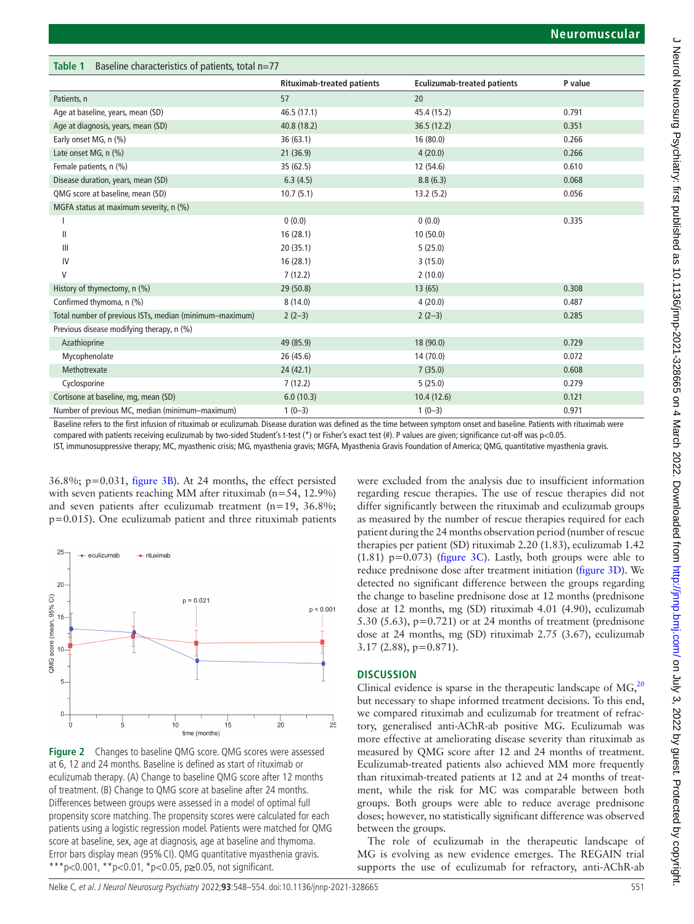<span id="page-3-0"></span>

| Baseline characteristics of patients, total $n=77$<br>Table 1 |                                   |                                    |         |  |
|---------------------------------------------------------------|-----------------------------------|------------------------------------|---------|--|
|                                                               | <b>Rituximab-treated patients</b> | <b>Eculizumab-treated patients</b> | P value |  |
| Patients, n                                                   | 57                                | 20                                 |         |  |
| Age at baseline, years, mean (SD)                             | 46.5 (17.1)                       | 45.4 (15.2)                        | 0.791   |  |
| Age at diagnosis, years, mean (SD)                            | 40.8 (18.2)                       | 36.5(12.2)                         | 0.351   |  |
| Early onset MG, n (%)                                         | 36(63.1)                          | 16(80.0)                           | 0.266   |  |
| Late onset MG, n (%)                                          | 21(36.9)                          | 4(20.0)                            | 0.266   |  |
| Female patients, n (%)                                        | 35 (62.5)                         | 12 (54.6)                          | 0.610   |  |
| Disease duration, years, mean (SD)                            | 6.3(4.5)                          | 8.8(6.3)                           | 0.068   |  |
| QMG score at baseline, mean (SD)                              | 10.7(5.1)                         | 13.2(5.2)                          | 0.056   |  |
| MGFA status at maximum severity, n (%)                        |                                   |                                    |         |  |
|                                                               | 0(0.0)                            | 0(0.0)                             | 0.335   |  |
| $\mathbf{I}$                                                  | 16(28.1)                          | 10(50.0)                           |         |  |
| $\mathbf{III}$                                                | 20(35.1)                          | 5(25.0)                            |         |  |
| IV                                                            | 16(28.1)                          | 3(15.0)                            |         |  |
| V                                                             | 7(12.2)                           | 2(10.0)                            |         |  |
| History of thymectomy, n (%)                                  | 29(50.8)                          | 13(65)                             | 0.308   |  |
| Confirmed thymoma, n (%)                                      | 8(14.0)                           | 4(20.0)                            | 0.487   |  |
| Total number of previous ISTs, median (minimum-maximum)       | $2(2-3)$                          | $2(2-3)$                           | 0.285   |  |
| Previous disease modifying therapy, n (%)                     |                                   |                                    |         |  |
| Azathioprine                                                  | 49 (85.9)                         | 18 (90.0)                          | 0.729   |  |
| Mycophenolate                                                 | 26 (45.6)                         | 14(70.0)                           | 0.072   |  |
| Methotrexate                                                  | 24(42.1)                          | 7(35.0)                            | 0.608   |  |
| Cyclosporine                                                  | 7(12.2)                           | 5(25.0)                            | 0.279   |  |
| Cortisone at baseline, mg, mean (SD)                          | 6.0(10.3)                         | 10.4(12.6)                         | 0.121   |  |
| Number of previous MC, median (minimum-maximum)               | $1(0-3)$                          | $1(0-3)$                           | 0.971   |  |

Baseline refers to the first infusion of rituximab or eculizumab. Disease duration was defined as the time between symptom onset and baseline. Patients with rituximab were compared with patients receiving eculizumab by two-sided Student's t-test (\*) or Fisher's exact test (#). P values are given; significance cut-off was p<0.05.

IST, immunosuppressive therapy; MC, myasthenic crisis; MG, myasthenia gravis; MGFA, Myasthenia Gravis Foundation of America; QMG, quantitative myasthenia gravis.

36.8%; p=0.031, [figure](#page-5-0) 3B). At 24 months, the effect persisted with seven patients reaching MM after rituximab (n=54, 12.9%) and seven patients after eculizumab treatment (n=19, 36.8%; p=0.015). One eculizumab patient and three rituximab patients



<span id="page-3-1"></span>**Figure 2** Changes to baseline QMG score. QMG scores were assessed at 6, 12 and 24 months. Baseline is defined as start of rituximab or eculizumab therapy. (A) Change to baseline QMG score after 12 months of treatment. (B) Change to QMG score at baseline after 24 months. Differences between groups were assessed in a model of optimal full propensity score matching. The propensity scores were calculated for each patients using a logistic regression model. Patients were matched for QMG score at baseline, sex, age at diagnosis, age at baseline and thymoma. Error bars display mean (95%CI). QMG quantitative myasthenia gravis. \*\*\*p<0.001, \*\*p<0.01, \*p<0.05, p $\geq$ 0.05, not significant.

were excluded from the analysis due to insufficient information regarding rescue therapies. The use of rescue therapies did not differ significantly between the rituximab and eculizumab groups as measured by the number of rescue therapies required for each patient during the 24 months observation period (number of rescue therapies per patient (SD) rituximab 2.20 (1.83), eculizumab 1.42 (1.81)  $p=0.073$ ) [\(figure](#page-5-0) 3C). Lastly, both groups were able to reduce prednisone dose after treatment initiation [\(figure](#page-5-0) 3D). We detected no significant difference between the groups regarding the change to baseline prednisone dose at 12 months (prednisone dose at 12 months, mg (SD) rituximab 4.01 (4.90), eculizumab 5.30 (5.63),  $p=0.721$ ) or at 24 months of treatment (prednisone dose at 24 months, mg (SD) rituximab 2.75 (3.67), eculizumab 3.17 (2.88), p=0.871).

## **DISCUSSION**

Clinical evidence is sparse in the therapeutic landscape of  $MG<sub>20</sub>$  $MG<sub>20</sub>$  $MG<sub>20</sub>$ <sup>20</sup> but necessary to shape informed treatment decisions. To this end, we compared rituximab and eculizumab for treatment of refractory, generalised anti-AChR-ab positive MG. Eculizumab was more effective at ameliorating disease severity than rituximab as measured by QMG score after 12 and 24 months of treatment. Eculizumab-treated patients also achieved MM more frequently than rituximab-treated patients at 12 and at 24 months of treatment, while the risk for MC was comparable between both groups. Both groups were able to reduce average prednisone doses; however, no statistically significant difference was observed between the groups.

The role of eculizumab in the therapeutic landscape of MG is evolving as new evidence emerges. The REGAIN trial supports the use of eculizumab for refractory, anti-AChR-ab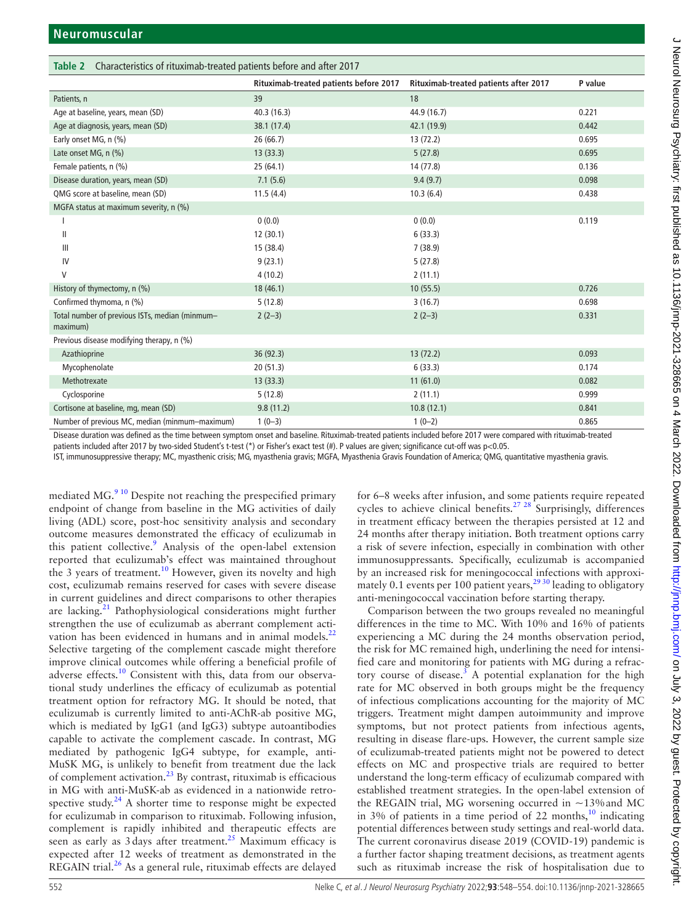<span id="page-4-0"></span>

| Table 2 Characteristics of rituximab-treated patients before and after 2017 |                                        |                                       |         |  |
|-----------------------------------------------------------------------------|----------------------------------------|---------------------------------------|---------|--|
|                                                                             | Rituximab-treated patients before 2017 | Rituximab-treated patients after 2017 | P value |  |
| Patients, n                                                                 | 39                                     | 18                                    |         |  |
| Age at baseline, years, mean (SD)                                           | 40.3(16.3)                             | 44.9 (16.7)                           | 0.221   |  |
| Age at diagnosis, years, mean (SD)                                          | 38.1 (17.4)                            | 42.1 (19.9)                           | 0.442   |  |
| Early onset MG, n (%)                                                       | 26(66.7)                               | 13(72.2)                              | 0.695   |  |
| Late onset MG, n (%)                                                        | 13(33.3)                               | 5(27.8)                               | 0.695   |  |
| Female patients, n (%)                                                      | 25(64.1)                               | 14 (77.8)                             | 0.136   |  |
| Disease duration, years, mean (SD)                                          | 7.1(5.6)                               | 9.4(9.7)                              | 0.098   |  |
| QMG score at baseline, mean (SD)                                            | 11.5(4.4)                              | 10.3(6.4)                             | 0.438   |  |
| MGFA status at maximum severity, n (%)                                      |                                        |                                       |         |  |
|                                                                             | 0(0.0)                                 | 0(0.0)                                | 0.119   |  |
| $\mathbf{H}$                                                                | 12(30.1)                               | 6(33.3)                               |         |  |
| $\mathbf{III}$                                                              | 15 (38.4)                              | 7(38.9)                               |         |  |
| IV                                                                          | 9(23.1)                                | 5(27.8)                               |         |  |
| V                                                                           | 4(10.2)                                | 2(11.1)                               |         |  |
| History of thymectomy, n (%)                                                | 18 (46.1)                              | 10(55.5)                              | 0.726   |  |
| Confirmed thymoma, n (%)                                                    | 5(12.8)                                | 3(16.7)                               | 0.698   |  |
| Total number of previous ISTs, median (minmum-<br>maximum)                  | $2(2-3)$                               | $2(2-3)$                              | 0.331   |  |
| Previous disease modifying therapy, n (%)                                   |                                        |                                       |         |  |
| Azathioprine                                                                | 36 (92.3)                              | 13(72.2)                              | 0.093   |  |
| Mycophenolate                                                               | 20(51.3)                               | 6(33.3)                               | 0.174   |  |
| Methotrexate                                                                | 13(33.3)                               | 11(61.0)                              | 0.082   |  |
| Cyclosporine                                                                | 5(12.8)                                | 2(11.1)                               | 0.999   |  |
| Cortisone at baseline, mg, mean (SD)                                        | 9.8(11.2)                              | 10.8(12.1)                            | 0.841   |  |
| Number of previous MC, median (minmum-maximum)                              | $1(0-3)$                               | $1(0-2)$                              | 0.865   |  |

Disease duration was defined as the time between symptom onset and baseline. Rituximab-treated patients included before 2017 were compared with rituximab-treated

patients included after 2017 by two-sided Student's t-test (\*) or Fisher's exact test (#). P values are given; significance cut-off was p<0.05. IST, immunosuppressive therapy; MC, myasthenic crisis; MG, myasthenia gravis; MGFA, Myasthenia Gravis Foundation of America; QMG, quantitative myasthenia gravis.

mediated  $MG<sub>2</sub><sup>910</sup>$  Despite not reaching the prespecified primary endpoint of change from baseline in the MG activities of daily living (ADL) score, post-hoc sensitivity analysis and secondary outcome measures demonstrated the efficacy of eculizumab in this patient collective.<sup>9</sup> Analysis of the open-label extension reported that eculizumab's effect was maintained throughout the 3 years of treatment.<sup>10</sup> However, given its novelty and high cost, eculizumab remains reserved for cases with severe disease in current guidelines and direct comparisons to other therapies are lacking. $21$  Pathophysiological considerations might further strengthen the use of eculizumab as aberrant complement activation has been evidenced in humans and in animal models. $^{22}$ Selective targeting of the complement cascade might therefore improve clinical outcomes while offering a beneficial profile of adverse effects.<sup>10</sup> Consistent with this, data from our observational study underlines the efficacy of eculizumab as potential treatment option for refractory MG. It should be noted, that eculizumab is currently limited to anti-AChR-ab positive MG, which is mediated by IgG1 (and IgG3) subtype autoantibodies capable to activate the complement cascade. In contrast, MG mediated by pathogenic IgG4 subtype, for example, anti-MuSK MG, is unlikely to benefit from treatment due the lack of complement activation.[23](#page-6-20) By contrast, rituximab is efficacious in MG with anti-MuSK-ab as evidenced in a nationwide retrospective study. $^{24}$  A shorter time to response might be expected for eculizumab in comparison to rituximab. Following infusion, complement is rapidly inhibited and therapeutic effects are seen as early as  $3 \text{ days}$  after treatment.<sup>[25](#page-6-22)</sup> Maximum efficacy is expected after 12 weeks of treatment as demonstrated in the REGAIN trial.<sup>26</sup> As a general rule, rituximab effects are delayed

for 6–8 weeks after infusion, and some patients require repeated cycles to achieve clinical benefits.<sup>27</sup>  $^{28}$  Surprisingly, differences in treatment efficacy between the therapies persisted at 12 and 24 months after therapy initiation. Both treatment options carry a risk of severe infection, especially in combination with other immunosuppressants. Specifically, eculizumab is accompanied by an increased risk for meningococcal infections with approximately 0.1 events per 100 patient years,<sup>2930</sup> leading to obligatory anti-meningococcal vaccination before starting therapy.

Comparison between the two groups revealed no meaningful differences in the time to MC. With 10% and 16% of patients experiencing a MC during the 24 months observation period, the risk for MC remained high, underlining the need for intensified care and monitoring for patients with MG during a refrac-tory course of disease.<sup>[3](#page-6-2)</sup> A potential explanation for the high rate for MC observed in both groups might be the frequency of infectious complications accounting for the majority of MC triggers. Treatment might dampen autoimmunity and improve symptoms, but not protect patients from infectious agents, resulting in disease flare-ups. However, the current sample size of eculizumab-treated patients might not be powered to detect effects on MC and prospective trials are required to better understand the long-term efficacy of eculizumab compared with established treatment strategies. In the open-label extension of the REGAIN trial, MG worsening occurred in ~13%and MC in 3% of patients in a time period of 22 months, $\frac{10}{10}$  indicating potential differences between study settings and real-world data. The current coronavirus disease 2019 (COVID-19) pandemic is a further factor shaping treatment decisions, as treatment agents such as rituximab increase the risk of hospitalisation due to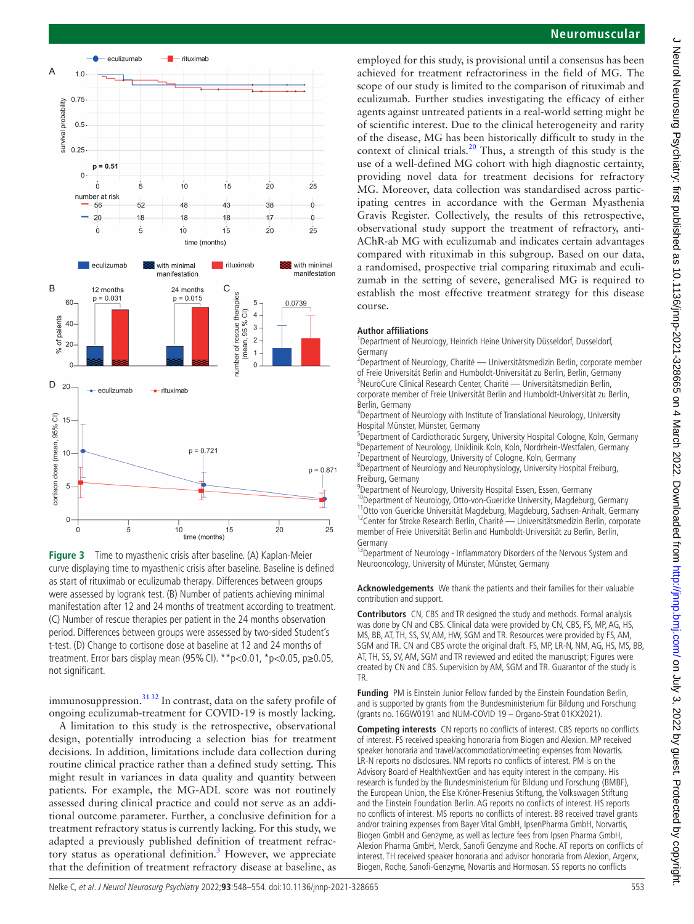

<span id="page-5-0"></span>**Figure 3** Time to myasthenic crisis after baseline. (A) Kaplan-Meier curve displaying time to myasthenic crisis after baseline. Baseline is defined as start of rituximab or eculizumab therapy. Differences between groups were assessed by logrank test. (B) Number of patients achieving minimal manifestation after 12 and 24 months of treatment according to treatment. (C) Number of rescue therapies per patient in the 24 months observation period. Differences between groups were assessed by two-sided Student's t-test. (D) Change to cortisone dose at baseline at 12 and 24 months of treatment. Error bars display mean (95%CI). \*\*p<0.01, \*p<0.05, p≥0.05, not significant.

immunosuppression. $3132$  In contrast, data on the safety profile of ongoing eculizumab-treatment for COVID-19 is mostly lacking.

A limitation to this study is the retrospective, observational design, potentially introducing a selection bias for treatment decisions. In addition, limitations include data collection during routine clinical practice rather than a defined study setting. This might result in variances in data quality and quantity between patients. For example, the MG-ADL score was not routinely assessed during clinical practice and could not serve as an additional outcome parameter. Further, a conclusive definition for a treatment refractory status is currently lacking. For this study, we adapted a previously published definition of treatment refrac-tory status as operational definition.<sup>[3](#page-6-2)</sup> However, we appreciate that the definition of treatment refractory disease at baseline, as

# **Neuromuscular**

employed for this study, is provisional until a consensus has been achieved for treatment refractoriness in the field of MG. The scope of our study is limited to the comparison of rituximab and eculizumab. Further studies investigating the efficacy of either agents against untreated patients in a real-world setting might be of scientific interest. Due to the clinical heterogeneity and rarity of the disease, MG has been historically difficult to study in the context of clinical trials.<sup>[20](#page-6-16)</sup> Thus, a strength of this study is the use of a well-defined MG cohort with high diagnostic certainty, providing novel data for treatment decisions for refractory MG. Moreover, data collection was standardised across participating centres in accordance with the German Myasthenia Gravis Register. Collectively, the results of this retrospective, observational study support the treatment of refractory, anti-AChR-ab MG with eculizumab and indicates certain advantages compared with rituximab in this subgroup. Based on our data, a randomised, prospective trial comparing rituximab and eculizumab in the setting of severe, generalised MG is required to establish the most effective treatment strategy for this disease course.

#### **Author affiliations**

<sup>1</sup>Department of Neurology, Heinrich Heine University Düsseldorf, Dusseldorf, Germany

<sup>2</sup>Department of Neurology, Charité — Universitätsmedizin Berlin, corporate member of Freie Universität Berlin and Humboldt-Universität zu Berlin, Berlin, Germany <sup>3</sup> <sup>3</sup>NeuroCure Clinical Research Center, Charité — Universitätsmedizin Berlin, corporate member of Freie Universität Berlin and Humboldt-Universität zu Berlin, Berlin, Germany

4 Department of Neurology with Institute of Translational Neurology, University Hospital Münster, Münster, Germany

<sup>5</sup>Department of Cardiothoracic Surgery, University Hospital Cologne, Koln, Germany <sup>6</sup>Departement of Neurology, Uniklinik Koln, Koln, Nordrhein-Westfalen, Germany<br><sup>7</sup>Department of Neurology, University of Cologne, Koln, Germany <sup>7</sup>Department of Neurology, University of Cologne, Koln, Germany

8 Department of Neurology and Neurophysiology, University Hospital Freiburg, Freiburg, Germany

9 Department of Neurology, University Hospital Essen, Essen, Germany

<sup>10</sup>Department of Neurology, Otto-von-Guericke University, Magdeburg, Germany<br><sup>11</sup>Otto von Guericke Universität Magdeburg, Magdeburg, Sachsen-Anhalt, Germany<br><sup>12</sup>Center for Stroke Research Berlin, Charité — Universitätsme member of Freie Universität Berlin and Humboldt-Universität zu Berlin, Berlin, Germany

<sup>13</sup>Department of Neurology - Inflammatory Disorders of the Nervous System and Neurooncology, University of Münster, Münster, Germany

**Acknowledgements** We thank the patients and their families for their valuable contribution and support.

**Contributors** CN, CBS and TR designed the study and methods. Formal analysis was done by CN and CBS. Clinical data were provided by CN, CBS, FS, MP, AG, HS, MS, BB, AT, TH, SS, SV, AM, HW, SGM and TR. Resources were provided by FS, AM, SGM and TR. CN and CBS wrote the original draft. FS, MP, LR-N, NM, AG, HS, MS, BB, AT, TH, SS, SV, AM, SGM and TR reviewed and edited the manuscript; Figures were created by CN and CBS. Supervision by AM, SGM and TR. Guarantor of the study is TR.

**Funding** PM is Einstein Junior Fellow funded by the Einstein Foundation Berlin, and is supported by grants from the Bundesministerium für Bildung und Forschung (grants no. 16GW0191 and NUM-COVID 19 – Organo-Strat 01KX2021).

**Competing interests** CN reports no conflicts of interest. CBS reports no conflicts of interest. FS received speaking honoraria from Biogen and Alexion. MP received speaker honoraria and travel/accommodation/meeting expenses from Novartis. LR-N reports no disclosures. NM reports no conflicts of interest. PM is on the Advisory Board of HealthNextGen and has equity interest in the company. His research is funded by the Bundesministerium für Bildung und Forschung (BMBF), the European Union, the Else Kröner-Fresenius Stiftung, the Volkswagen Stiftung and the Einstein Foundation Berlin. AG reports no conflicts of interest. HS reports no conflicts of interest. MS reports no conflicts of interest. BB received travel grants and/or training expenses from Bayer Vital GmbH, IpsenPharma GmbH, Norvartis, Biogen GmbH and Genzyme, as well as lecture fees from Ipsen Pharma GmbH, Alexion Pharma GmbH, Merck, Sanofi Genzyme and Roche. AT reports on conflicts of interest. TH received speaker honoraria and advisor honoraria from Alexion, Argenx, Biogen, Roche, Sanofi-Genzyme, Novartis and Hormosan. SS reports no conflicts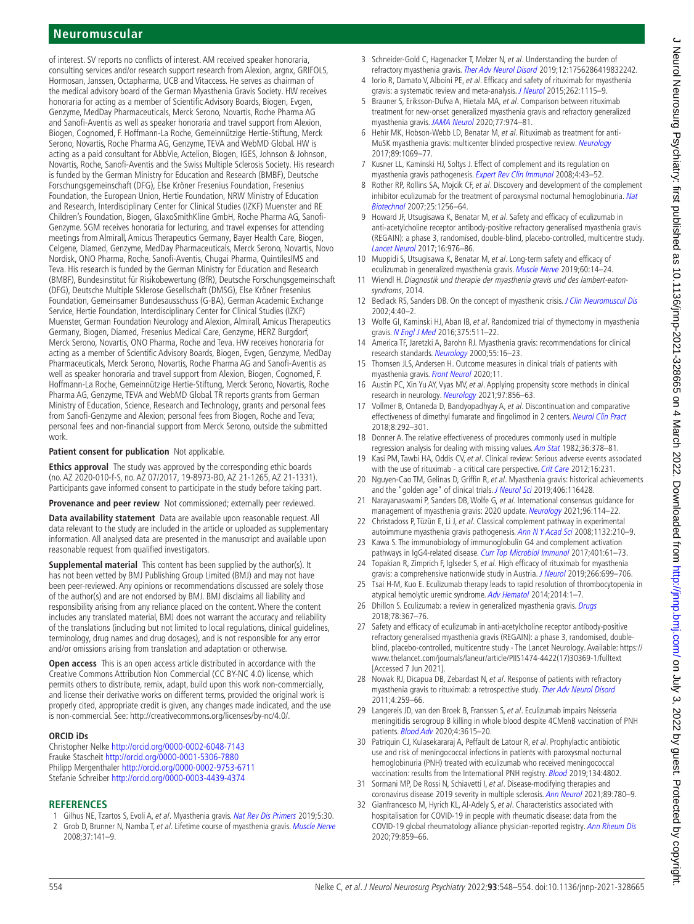# **Neuromuscular**

of interest. SV reports no conflicts of interest. AM received speaker honoraria, consulting services and/or research support research from Alexion, argnx, GRIFOLS, Hormosan, Janssen, Octapharma, UCB and Vitaccess. He serves as chairman of the medical advisory board of the German Myasthenia Gravis Society. HW receives honoraria for acting as a member of Scientific Advisory Boards, Biogen, Evgen, Genzyme, MedDay Pharmaceuticals, Merck Serono, Novartis, Roche Pharma AG and Sanofi-Aventis as well as speaker honoraria and travel support from Alexion, Biogen, Cognomed, F. Hoffmann-La Roche, Gemeinnützige Hertie-Stiftung, Merck Serono, Novartis, Roche Pharma AG, Genzyme, TEVA and WebMD Global. HW is acting as a paid consultant for AbbVie, Actelion, Biogen, IGES, Johnson & Johnson, Novartis, Roche, Sanofi-Aventis and the Swiss Multiple Sclerosis Society. His research is funded by the German Ministry for Education and Research (BMBF), Deutsche Forschungsgemeinschaft (DFG), Else Kröner Fresenius Foundation, Fresenius Foundation, the European Union, Hertie Foundation, NRW Ministry of Education and Research, Interdisciplinary Center for Clinical Studies (IZKF) Muenster and RE Children's Foundation, Biogen, GlaxoSmithKline GmbH, Roche Pharma AG, Sanofi-Genzyme. SGM receives honoraria for lecturing, and travel expenses for attending meetings from Almirall, Amicus Therapeutics Germany, Bayer Health Care, Biogen, Celgene, Diamed, Genzyme, MedDay Pharmaceuticals, Merck Serono, Novartis, Novo Nordisk, ONO Pharma, Roche, Sanofi-Aventis, Chugai Pharma, QuintilesIMS and Teva. His research is funded by the German Ministry for Education and Research (BMBF), Bundesinstitut für Risikobewertung (BfR), Deutsche Forschungsgemeinschaft (DFG), Deutsche Multiple Sklerose Gesellschaft (DMSG), Else Kröner Fresenius Foundation, Gemeinsamer Bundesausschuss (G-BA), German Academic Exchange Service, Hertie Foundation, Interdisciplinary Center for Clinical Studies (IZKF) Muenster, German Foundation Neurology and Alexion, Almirall, Amicus Therapeutics Germany, Biogen, Diamed, Fresenius Medical Care, Genzyme, HERZ Burgdorf, Merck Serono, Novartis, ONO Pharma, Roche and Teva. HW receives honoraria for acting as a member of Scientific Advisory Boards, Biogen, Evgen, Genzyme, MedDay Pharmaceuticals, Merck Serono, Novartis, Roche Pharma AG and Sanofi-Aventis as well as speaker honoraria and travel support from Alexion, Biogen, Cognomed, F. Hoffmann-La Roche, Gemeinnützige Hertie-Stiftung, Merck Serono, Novartis, Roche Pharma AG, Genzyme, TEVA and WebMD Global. TR reports grants from German Ministry of Education, Science, Research and Technology, grants and personal fees from Sanofi-Genzyme and Alexion; personal fees from Biogen, Roche and Teva; personal fees and non-financial support from Merck Serono, outside the submitted work.

#### **Patient consent for publication** Not applicable.

**Ethics approval** The study was approved by the corresponding ethic boards (no. AZ 2020-010-f-S, no. AZ 07/2017, 19-8973-BO, AZ 21-1265, AZ 21-1331). Participants gave informed consent to participate in the study before taking part.

**Provenance and peer review** Not commissioned; externally peer reviewed.

**Data availability statement** Data are available upon reasonable request. All data relevant to the study are included in the article or uploaded as supplementary information. All analysed data are presented in the manuscript and available upon reasonable request from qualified investigators.

**Supplemental material** This content has been supplied by the author(s). It has not been vetted by BMJ Publishing Group Limited (BMJ) and may not have been peer-reviewed. Any opinions or recommendations discussed are solely those of the author(s) and are not endorsed by BMJ. BMJ disclaims all liability and responsibility arising from any reliance placed on the content. Where the content includes any translated material, BMJ does not warrant the accuracy and reliability of the translations (including but not limited to local regulations, clinical guidelines, terminology, drug names and drug dosages), and is not responsible for any error and/or omissions arising from translation and adaptation or otherwise.

**Open access** This is an open access article distributed in accordance with the Creative Commons Attribution Non Commercial (CC BY-NC 4.0) license, which permits others to distribute, remix, adapt, build upon this work non-commercially, and license their derivative works on different terms, provided the original work is properly cited, appropriate credit is given, any changes made indicated, and the use is non-commercial. See: <http://creativecommons.org/licenses/by-nc/4.0/>.

#### **ORCID iDs**

Christopher Nelke <http://orcid.org/0000-0002-6048-7143> Frauke Stascheit <http://orcid.org/0000-0001-5306-7880> Philipp Mergenthaler <http://orcid.org/0000-0002-9753-6711> Stefanie Schreiber <http://orcid.org/0000-0003-4439-4374>

#### **REFERENCES**

- <span id="page-6-0"></span>1 Gilhus NE, Tzartos S, Evoli A, et al. Myasthenia gravis. [Nat Rev Dis Primers](http://dx.doi.org/10.1038/s41572-019-0079-y) 2019;5:30.
- <span id="page-6-1"></span>2 Grob D, Brunner N, Namba T, et al. Lifetime course of myasthenia gravis. [Muscle Nerve](http://dx.doi.org/10.1002/mus.20950) 2008;37:141–9.
- <span id="page-6-2"></span>3 Schneider-Gold C, Hagenacker T, Melzer N, et al. Understanding the burden of refractory myasthenia gravis. [Ther Adv Neurol Disord](http://dx.doi.org/10.1177/1756286419832242) 2019;12:1756286419832242.
- <span id="page-6-3"></span>Iorio R, Damato V, Alboini PE, et al. Efficacy and safety of rituximab for myasthenia gravis: a systematic review and meta-analysis. [J Neurol](http://dx.doi.org/10.1007/s00415-014-7532-3) 2015;262:1115-9.
- <span id="page-6-4"></span>5 Brauner S, Eriksson-Dufva A, Hietala MA, et al. Comparison between rituximab treatment for new-onset generalized myasthenia gravis and refractory generalized myasthenia gravis. [JAMA Neurol](http://dx.doi.org/10.1001/jamaneurol.2020.0851) 2020;77:974–81.
- <span id="page-6-5"></span>6 Hehir MK, Hobson-Webb LD, Benatar M, et al. Rituximab as treatment for anti-MuSK myasthenia gravis: multicenter blinded prospective review. [Neurology](http://dx.doi.org/10.1212/WNL.0000000000004341) 2017;89:1069–77.
- <span id="page-6-6"></span>7 Kusner LL, Kaminski HJ, Soltys J. Effect of complement and its regulation on myasthenia gravis pathogenesis. [Expert Rev Clin Immunol](http://dx.doi.org/10.1586/1744666X.4.1.43) 2008;4:43-52.
- <span id="page-6-7"></span>8 Rother RP, Rollins SA, Mojcik CF, et al. Discovery and development of the complement inhibitor eculizumab for the treatment of paroxysmal nocturnal hemoglobinuria. Nat [Biotechnol](http://dx.doi.org/10.1038/nbt1344) 2007;25:1256–64.
- <span id="page-6-8"></span>9 Howard JF, Utsugisawa K, Benatar M, et al. Safety and efficacy of eculizumab in anti-acetylcholine receptor antibody-positive refractory generalised myasthenia gravis (REGAIN): a phase 3, randomised, double-blind, placebo-controlled, multicentre study. [Lancet Neurol](http://dx.doi.org/10.1016/S1474-4422(17)30369-1) 2017;16:976–86.
- <span id="page-6-17"></span>10 Muppidi S, Utsugisawa K, Benatar M, et al. Long-term safety and efficacy of eculizumab in generalized myasthenia gravis. [Muscle Nerve](http://dx.doi.org/10.1002/mus.26447) 2019;60:14–24.
- <span id="page-6-9"></span>11 Wiendl H. Diagnostik und therapie der myasthenia gravis und des lambert-eatonsyndroms, 2014.
- <span id="page-6-10"></span>12 Bedlack RS, Sanders DB. On the concept of myasthenic crisis. [J Clin Neuromuscul Dis](http://dx.doi.org/10.1097/00131402-200209000-00009)  $2002 \cdot 4 \cdot 40 - 2$
- <span id="page-6-11"></span>13 Wolfe GI, Kaminski HJ, Aban IB, et al. Randomized trial of thymectomy in myasthenia gravis. [N Engl J Med](http://dx.doi.org/10.1056/NEJMoa1602489) 2016;375:511–22.
- <span id="page-6-12"></span>14 America TF, Jaretzki A, Barohn RJ. Myasthenia gravis: recommendations for clinical research standards. [Neurology](http://dx.doi.org/10.1212/WNL.55.1.16) 2000;55:16–23.
- <span id="page-6-13"></span>15 Thomsen JLS, Andersen H. Outcome measures in clinical trials of patients with myasthenia gravis. [Front Neurol](http://dx.doi.org/10.3389/fneur.2020.596382) 2020;11.
- <span id="page-6-14"></span>16 Austin PC, Xin Yu AY, Vyas MV, et al. Applying propensity score methods in clinical research in neurology. [Neurology](http://dx.doi.org/10.1212/WNL.0000000000012777) 2021;97:856–63.
- 17 Vollmer B, Ontaneda D, Bandyopadhyay A, et al. Discontinuation and comparative effectiveness of dimethyl fumarate and fingolimod in 2 centers. [Neurol Clin Pract](http://dx.doi.org/10.1212/CPJ.0000000000000487) 2018;8:292–301.
- <span id="page-6-15"></span>18 Donner A. The relative effectiveness of procedures commonly used in multiple regression analysis for dealing with missing values. [Am Stat](http://dx.doi.org/10.1080/00031305.1982.10483055) 1982;36:378-81.
- 19 Kasi PM, Tawbi HA, Oddis CV, et al. Clinical review: Serious adverse events associated with the use of rituximab - a critical care perspective. [Crit Care](http://dx.doi.org/10.1186/cc11304) 2012;16:231.
- <span id="page-6-16"></span>20 Nguyen-Cao TM, Gelinas D, Griffin R, et al. Myasthenia gravis: historical achievements and the "golden age" of clinical trials. [J Neurol Sci](http://dx.doi.org/10.1016/j.jns.2019.116428) 2019;406:116428.
- <span id="page-6-18"></span>21 Narayanaswami P, Sanders DB, Wolfe G, et al. International consensus quidance for management of myasthenia gravis: 2020 update. [Neurology](http://dx.doi.org/10.1212/WNL.0000000000011124) 2021;96:114–22.
- <span id="page-6-19"></span>22 Christadoss P, Tüzün E, Li J, et al. Classical complement pathway in experimental autoimmune myasthenia gravis pathogenesis. [Ann N Y Acad Sci](http://dx.doi.org/10.1196/annals.1405.009) 2008;1132:210-9.
- <span id="page-6-20"></span>23 Kawa S. The immunobiology of immunoglobulin G4 and complement activation pathways in IgG4-related disease. [Curr Top Microbiol Immunol](http://dx.doi.org/10.1007/82_2016_39) 2017;401:61-73.
- <span id="page-6-21"></span>24 Topakian R, Zimprich F, Iglseder S, et al. High efficacy of rituximab for myasthenia gravis: a comprehensive nationwide study in Austria. [J Neurol](http://dx.doi.org/10.1007/s00415-019-09191-6) 2019;266:699-706.
- <span id="page-6-22"></span>25 Tsai H-M, Kuo E. Eculizumab therapy leads to rapid resolution of thrombocytopenia in atypical hemolytic uremic syndrome. [Adv Hematol](http://dx.doi.org/10.1155/2014/295323) 2014;2014:1–7.
- <span id="page-6-23"></span>26 Dhillon S. Eculizumab: a review in generalized myasthenia gravis. [Drugs](http://dx.doi.org/10.1007/s40265-018-0875-9) 2018;78:367–76.
- <span id="page-6-24"></span>27 Safety and efficacy of eculizumab in anti-acetylcholine receptor antibody-positive refractory generalised myasthenia gravis (REGAIN): a phase 3, randomised, doubleblind, placebo-controlled, multicentre study - The Lancet Neurology. Available: [https://](https://www.thelancet.com/journals/laneur/article/PIIS1474-4422(17)30369-1/fulltext) [www.thelancet.com/journals/laneur/article/PIIS1474-4422\(17\)30369-1/fulltext](https://www.thelancet.com/journals/laneur/article/PIIS1474-4422(17)30369-1/fulltext)  [Accessed 7 Jun 2021].
- 28 Nowak RJ, Dicapua DB, Zebardast N, et al. Response of patients with refractory myasthenia gravis to rituximab: a retrospective study. [Ther Adv Neurol Disord](http://dx.doi.org/10.1177/1756285611411503) 2011;4:259–66.
- <span id="page-6-25"></span>29 Langereis JD, van den Broek B, Franssen S, et al. Eculizumab impairs Neisseria meningitidis serogroup B killing in whole blood despite 4CMenB vaccination of PNH patients. **[Blood Adv](http://dx.doi.org/10.1182/bloodadvances.2020002497)** 2020:4:3615-20.
- 30 Patriquin CJ, Kulasekararaj A, Peffault de Latour R, et al. Prophylactic antibiotic use and risk of meningococcal infections in patients with paroxysmal nocturnal hemoglobinuria (PNH) treated with eculizumab who received meningococcal vaccination: results from the International PNH registry. **[Blood](http://dx.doi.org/10.1182/blood-2019-127005)** 2019;134:4802.
- <span id="page-6-26"></span>31 Sormani MP, De Rossi N, Schiavetti I, et al. Disease-modifying therapies and coronavirus disease 2019 severity in multiple sclerosis. [Ann Neurol](http://dx.doi.org/10.1002/ana.26028) 2021;89:780–9.
- 32 Gianfrancesco M, Hyrich KL, Al-Adely S, et al. Characteristics associated with hospitalisation for COVID-19 in people with rheumatic disease: data from the COVID-19 global rheumatology alliance physician-reported registry. [Ann Rheum Dis](http://dx.doi.org/10.1136/annrheumdis-2020-217871) 2020;79:859–66.